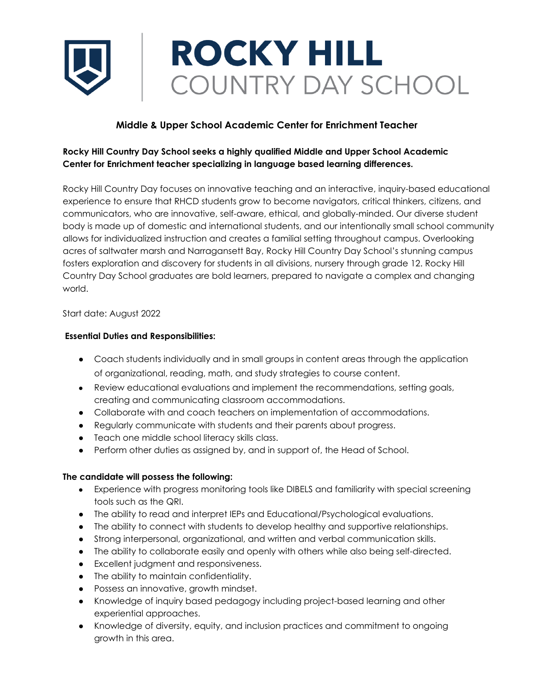

# **Middle & Upper School Academic Center for Enrichment Teacher**

## **Rocky Hill Country Day School seeks a highly qualified Middle and Upper School Academic Center for Enrichment teacher specializing in language based learning differences.**

Rocky Hill Country Day focuses on innovative teaching and an interactive, inquiry-based educational experience to ensure that RHCD students grow to become navigators, critical thinkers, citizens, and communicators, who are innovative, self-aware, ethical, and globally-minded. Our diverse student body is made up of domestic and international students, and our intentionally small school community allows for individualized instruction and creates a familial setting throughout campus. Overlooking acres of saltwater marsh and Narragansett Bay, Rocky Hill Country Day School's stunning campus fosters exploration and discovery for students in all divisions, nursery through grade 12. Rocky Hill Country Day School graduates are bold learners, prepared to navigate a complex and changing world.

### Start date: August 2022

### **Essential Duties and Responsibilities:**

- Coach students individually and in small groups in content areas through the application of organizational, reading, math, and study strategies to course content.
- Review educational evaluations and implement the recommendations, setting goals, creating and communicating classroom accommodations.
- Collaborate with and coach teachers on implementation of accommodations.
- Regularly communicate with students and their parents about progress.
- Teach one middle school literacy skills class.
- Perform other duties as assigned by, and in support of, the Head of School.

#### **The candidate will possess the following:**

- Experience with progress monitoring tools like DIBELS and familiarity with special screening tools such as the QRI.
- The ability to read and interpret IEPs and Educational/Psychological evaluations.
- The ability to connect with students to develop healthy and supportive relationships.
- Strong interpersonal, organizational, and written and verbal communication skills.
- The ability to collaborate easily and openly with others while also being self-directed.
- Excellent judgment and responsiveness.
- The ability to maintain confidentiality.
- Possess an innovative, growth mindset.
- Knowledge of inquiry based pedagogy including project-based learning and other experiential approaches.
- Knowledge of diversity, equity, and inclusion practices and commitment to ongoing growth in this area.